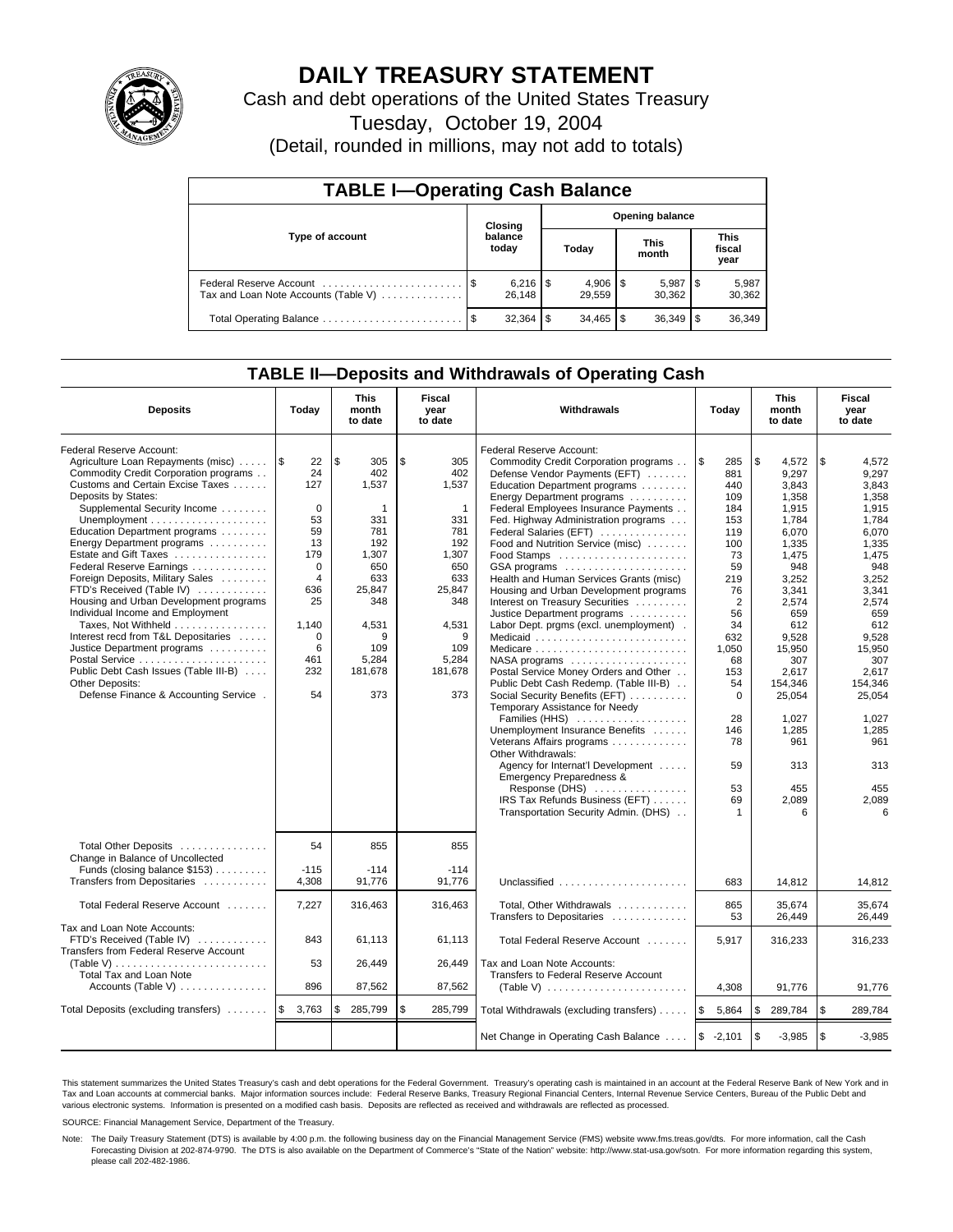

# **DAILY TREASURY STATEMENT**

Cash and debt operations of the United States Treasury

Tuesday, October 19, 2004

(Detail, rounded in millions, may not add to totals)

| <b>TABLE I-Operating Cash Balance</b>                           |                                   |                              |   |                          |  |                      |                               |                 |  |
|-----------------------------------------------------------------|-----------------------------------|------------------------------|---|--------------------------|--|----------------------|-------------------------------|-----------------|--|
|                                                                 | <b>Opening balance</b><br>Closing |                              |   |                          |  |                      |                               |                 |  |
| Type of account                                                 |                                   | balance<br>today             |   | Today                    |  | <b>This</b><br>month | <b>This</b><br>fiscal<br>year |                 |  |
| Federal Reserve Account<br>Tax and Loan Note Accounts (Table V) |                                   | $6,216$ $\sqrt{5}$<br>26.148 |   | $4,906$ \ \ \$<br>29.559 |  | 5,987<br>30.362      | 1 S                           | 5,987<br>30,362 |  |
| Total Operating Balance                                         |                                   | 32.364                       | S | $34.465$ \$              |  |                      |                               | 36,349          |  |

## **TABLE II—Deposits and Withdrawals of Operating Cash**

| <b>Deposits</b>                                                                                                                                                                                                                                                                                                                                                                                                                                                                                                                                                                                                                                                          | Today                                                                                                                                            | <b>This</b><br>month<br>to date                                                                                                             | Fiscal<br>year<br>to date                                                                                                                              | Withdrawals                                                                                                                                                                                                                                                                                                                                                                                                                                                                                                                                                                                                                                                                                                                                                                                                                                                 | Today                                                                                                                                                                               | <b>This</b><br>month<br>to date                                                                                                                                                                                      | Fiscal<br>year<br>to date                                                                                                                                                                                            |
|--------------------------------------------------------------------------------------------------------------------------------------------------------------------------------------------------------------------------------------------------------------------------------------------------------------------------------------------------------------------------------------------------------------------------------------------------------------------------------------------------------------------------------------------------------------------------------------------------------------------------------------------------------------------------|--------------------------------------------------------------------------------------------------------------------------------------------------|---------------------------------------------------------------------------------------------------------------------------------------------|--------------------------------------------------------------------------------------------------------------------------------------------------------|-------------------------------------------------------------------------------------------------------------------------------------------------------------------------------------------------------------------------------------------------------------------------------------------------------------------------------------------------------------------------------------------------------------------------------------------------------------------------------------------------------------------------------------------------------------------------------------------------------------------------------------------------------------------------------------------------------------------------------------------------------------------------------------------------------------------------------------------------------------|-------------------------------------------------------------------------------------------------------------------------------------------------------------------------------------|----------------------------------------------------------------------------------------------------------------------------------------------------------------------------------------------------------------------|----------------------------------------------------------------------------------------------------------------------------------------------------------------------------------------------------------------------|
| Federal Reserve Account:<br>Agriculture Loan Repayments (misc)<br>Commodity Credit Corporation programs<br>Customs and Certain Excise Taxes<br>Deposits by States:<br>Supplemental Security Income<br>Education Department programs<br>Energy Department programs<br>Estate and Gift Taxes<br>Federal Reserve Earnings<br>Foreign Deposits, Military Sales<br>FTD's Received (Table IV)<br>Housing and Urban Development programs<br>Individual Income and Employment<br>Taxes, Not Withheld<br>Interest recd from T&L Depositaries<br>Justice Department programs<br>Public Debt Cash Issues (Table III-B)<br>Other Deposits:<br>Defense Finance & Accounting Service . | ۱\$<br>22<br>24<br>127<br>0<br>53<br>59<br>13<br>179<br>$\Omega$<br>$\overline{4}$<br>636<br>25<br>1,140<br>$\mathbf 0$<br>6<br>461<br>232<br>54 | \$<br>305<br>402<br>1,537<br>1<br>331<br>781<br>192<br>1.307<br>650<br>633<br>25,847<br>348<br>4,531<br>9<br>109<br>5,284<br>181,678<br>373 | \$<br>305<br>402<br>1,537<br>$\mathbf{1}$<br>331<br>781<br>192<br>1.307<br>650<br>633<br>25,847<br>348<br>4,531<br>9<br>109<br>5,284<br>181,678<br>373 | Federal Reserve Account:<br>Commodity Credit Corporation programs<br>Defense Vendor Payments (EFT)<br>Education Department programs<br>Energy Department programs<br>Federal Employees Insurance Payments<br>Fed. Highway Administration programs<br>Federal Salaries (EFT)<br>Food and Nutrition Service (misc)<br>GSA programs<br>Health and Human Services Grants (misc)<br>Housing and Urban Development programs<br>Interest on Treasury Securities<br>Justice Department programs<br>Labor Dept. prgms (excl. unemployment).<br>Medicaid<br>Medicare<br>$NASA$ programs $\ldots \ldots \ldots \ldots \ldots$<br>Postal Service Money Orders and Other<br>Public Debt Cash Redemp. (Table III-B)<br>Social Security Benefits (EFT)<br>Temporary Assistance for Needy<br>Families (HHS)<br>Unemployment Insurance Benefits<br>Veterans Affairs programs | \$<br>285<br>881<br>440<br>109<br>184<br>153<br>119<br>100<br>73<br>59<br>219<br>76<br>$\overline{2}$<br>56<br>34<br>632<br>1,050<br>68<br>153<br>54<br>$\Omega$<br>28<br>146<br>78 | \$<br>4,572<br>9.297<br>3.843<br>1,358<br>1,915<br>1,784<br>6,070<br>1,335<br>1.475<br>948<br>3,252<br>3.341<br>2,574<br>659<br>612<br>9.528<br>15,950<br>307<br>2.617<br>154,346<br>25,054<br>1.027<br>1,285<br>961 | \$<br>4,572<br>9,297<br>3.843<br>1,358<br>1,915<br>1,784<br>6,070<br>1,335<br>1.475<br>948<br>3,252<br>3,341<br>2,574<br>659<br>612<br>9.528<br>15,950<br>307<br>2.617<br>154,346<br>25,054<br>1.027<br>1,285<br>961 |
|                                                                                                                                                                                                                                                                                                                                                                                                                                                                                                                                                                                                                                                                          |                                                                                                                                                  |                                                                                                                                             |                                                                                                                                                        | Other Withdrawals:<br>Agency for Internat'l Development<br>Emergency Preparedness &<br>Response $(DHS)$<br>IRS Tax Refunds Business (EFT)<br>Transportation Security Admin. (DHS)                                                                                                                                                                                                                                                                                                                                                                                                                                                                                                                                                                                                                                                                           | 59<br>53<br>69<br>1                                                                                                                                                                 | 313<br>455<br>2,089<br>ี                                                                                                                                                                                             | 313<br>455<br>2,089<br>6                                                                                                                                                                                             |
| Total Other Deposits                                                                                                                                                                                                                                                                                                                                                                                                                                                                                                                                                                                                                                                     | 54                                                                                                                                               | 855                                                                                                                                         | 855                                                                                                                                                    |                                                                                                                                                                                                                                                                                                                                                                                                                                                                                                                                                                                                                                                                                                                                                                                                                                                             |                                                                                                                                                                                     |                                                                                                                                                                                                                      |                                                                                                                                                                                                                      |
| Change in Balance of Uncollected<br>Funds (closing balance \$153)<br>Transfers from Depositaries                                                                                                                                                                                                                                                                                                                                                                                                                                                                                                                                                                         | $-115$<br>4,308                                                                                                                                  | $-114$<br>91,776                                                                                                                            | $-114$<br>91.776                                                                                                                                       | Unclassified                                                                                                                                                                                                                                                                                                                                                                                                                                                                                                                                                                                                                                                                                                                                                                                                                                                | 683                                                                                                                                                                                 | 14.812                                                                                                                                                                                                               | 14.812                                                                                                                                                                                                               |
| Total Federal Reserve Account                                                                                                                                                                                                                                                                                                                                                                                                                                                                                                                                                                                                                                            | 7,227                                                                                                                                            | 316,463                                                                                                                                     | 316,463                                                                                                                                                | Total, Other Withdrawals<br>Transfers to Depositaries                                                                                                                                                                                                                                                                                                                                                                                                                                                                                                                                                                                                                                                                                                                                                                                                       | 865<br>53                                                                                                                                                                           | 35,674<br>26,449                                                                                                                                                                                                     | 35,674<br>26.449                                                                                                                                                                                                     |
| Tax and Loan Note Accounts:<br>FTD's Received (Table IV)<br>Transfers from Federal Reserve Account                                                                                                                                                                                                                                                                                                                                                                                                                                                                                                                                                                       | 843                                                                                                                                              | 61,113                                                                                                                                      | 61,113                                                                                                                                                 | Total Federal Reserve Account                                                                                                                                                                                                                                                                                                                                                                                                                                                                                                                                                                                                                                                                                                                                                                                                                               | 5,917                                                                                                                                                                               | 316,233                                                                                                                                                                                                              | 316,233                                                                                                                                                                                                              |
| (Table V)<br>Total Tax and Loan Note                                                                                                                                                                                                                                                                                                                                                                                                                                                                                                                                                                                                                                     | 53                                                                                                                                               | 26,449                                                                                                                                      | 26,449                                                                                                                                                 | Tax and Loan Note Accounts:<br>Transfers to Federal Reserve Account                                                                                                                                                                                                                                                                                                                                                                                                                                                                                                                                                                                                                                                                                                                                                                                         |                                                                                                                                                                                     |                                                                                                                                                                                                                      |                                                                                                                                                                                                                      |
| Accounts (Table V) $\dots \dots \dots \dots$                                                                                                                                                                                                                                                                                                                                                                                                                                                                                                                                                                                                                             | 896                                                                                                                                              | 87,562                                                                                                                                      | 87,562                                                                                                                                                 | (Table V) $\ldots \ldots \ldots \ldots \ldots \ldots \ldots$                                                                                                                                                                                                                                                                                                                                                                                                                                                                                                                                                                                                                                                                                                                                                                                                | 4,308                                                                                                                                                                               | 91,776                                                                                                                                                                                                               | 91,776                                                                                                                                                                                                               |
| Total Deposits (excluding transfers)                                                                                                                                                                                                                                                                                                                                                                                                                                                                                                                                                                                                                                     | $\mathbb{S}$<br>3,763                                                                                                                            | \$<br>285,799                                                                                                                               | \$<br>285,799                                                                                                                                          | Total Withdrawals (excluding transfers)                                                                                                                                                                                                                                                                                                                                                                                                                                                                                                                                                                                                                                                                                                                                                                                                                     | \$<br>5,864                                                                                                                                                                         | \$<br>289,784                                                                                                                                                                                                        | <b>S</b><br>289,784                                                                                                                                                                                                  |
|                                                                                                                                                                                                                                                                                                                                                                                                                                                                                                                                                                                                                                                                          |                                                                                                                                                  |                                                                                                                                             |                                                                                                                                                        | Net Change in Operating Cash Balance                                                                                                                                                                                                                                                                                                                                                                                                                                                                                                                                                                                                                                                                                                                                                                                                                        | $$ -2,101$                                                                                                                                                                          | \$<br>$-3,985$                                                                                                                                                                                                       | l \$<br>$-3,985$                                                                                                                                                                                                     |

This statement summarizes the United States Treasury's cash and debt operations for the Federal Government. Treasury's operating cash is maintained in an account at the Federal Reserve Bank of New York and in Tax and Loan accounts at commercial banks. Major information sources include: Federal Reserve Banks, Treasury Regional Financial Centers, Internal Revenue Service Centers, Bureau of the Public Debt and<br>various electronic s

SOURCE: Financial Management Service, Department of the Treasury.

Note: The Daily Treasury Statement (DTS) is available by 4:00 p.m. the following business day on the Financial Management Service (FMS) website www.fms.treas.gov/dts. For more information, call the Cash Forecasting Division at 202-874-9790. The DTS is also available on the Department of Commerce's "State of the Nation" website: http://www.stat-usa.gov/sotn. For more information regarding this system, please call 202-482-1986.